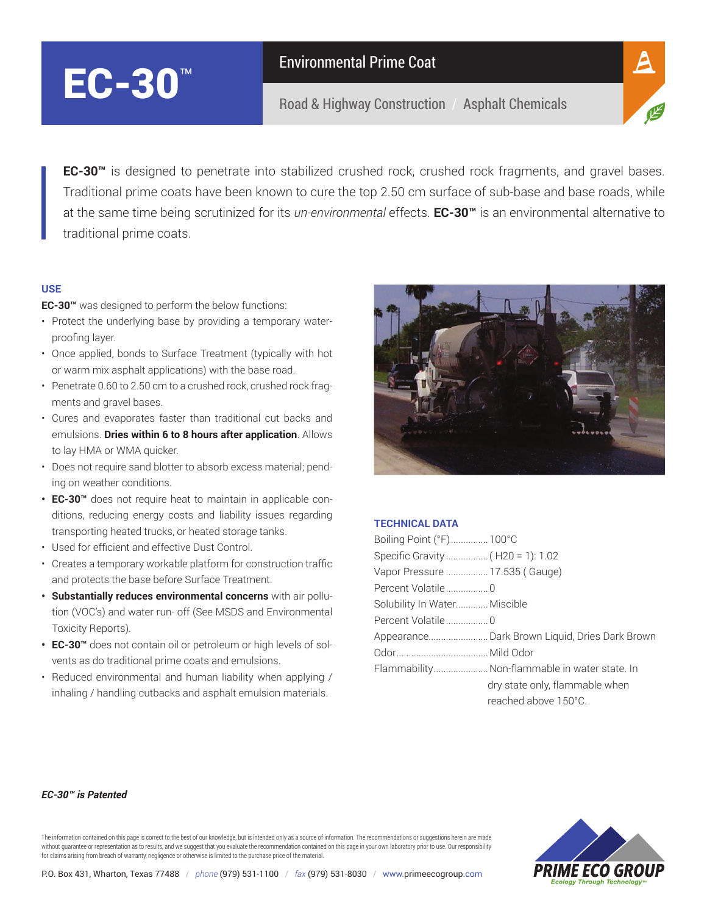# EC-30<sup>™</sup>

Road & Highway Construction / Asphalt Chemicals



**EC-30™** is designed to penetrate into stabilized crushed rock, crushed rock fragments, and gravel bases. Traditional prime coats have been known to cure the top 2.50 cm surface of sub-base and base roads, while at the same time being scrutinized for its *un-environmental* effects. **EC-30™** is an environmental alternative to traditional prime coats.

## **USE**

**EC-30™** was designed to perform the below functions:

- Protect the underlying base by providing a temporary waterproofing layer.
- Once applied, bonds to Surface Treatment (typically with hot or warm mix asphalt applications) with the base road.
- Penetrate 0.60 to 2.50 cm to a crushed rock, crushed rock fragments and gravel bases.
- Cures and evaporates faster than traditional cut backs and emulsions. **Dries within 6 to 8 hours after application**. Allows to lay HMA or WMA quicker.
- Does not require sand blotter to absorb excess material; pending on weather conditions.
- **• EC-30™** does not require heat to maintain in applicable conditions, reducing energy costs and liability issues regarding transporting heated trucks, or heated storage tanks.
- Used for efficient and effective Dust Control.
- Creates a temporary workable platform for construction traffic and protects the base before Surface Treatment.
- **• Substantially reduces environmental concerns** with air pollution (VOC's) and water run- off (See MSDS and Environmental Toxicity Reports).
- **• EC-30™** does not contain oil or petroleum or high levels of solvents as do traditional prime coats and emulsions.
- Reduced environmental and human liability when applying / inhaling / handling cutbacks and asphalt emulsion materials.



### **TECHNICAL DATA**

| Boiling Point (°F) 100°C         |                                                |
|----------------------------------|------------------------------------------------|
| Specific Gravity (H20 = 1): 1.02 |                                                |
| Vapor Pressure  17.535 (Gauge)   |                                                |
| Percent Volatile0                |                                                |
| Solubility In Water Miscible     |                                                |
| Percent Volatile0                |                                                |
|                                  | Appearance Dark Brown Liquid, Dries Dark Brown |
|                                  |                                                |
|                                  | Flammability Non-flammable in water state. In  |
|                                  | dry state only, flammable when                 |
|                                  | reached above 150°C.                           |
|                                  |                                                |

#### *EC-30™ is Patented*

The information contained on this page is correct to the best of our knowledge, but is intended only as a source of information. The recommendations or suggestions herein are made without guarantee or representation as to results, and we suggest that you evaluate the recommendation contained on this page in your own laboratory prior to use. Our responsibility for claims arising from breach of warranty, negligence or otherwise is limited to the purchase price of the material.